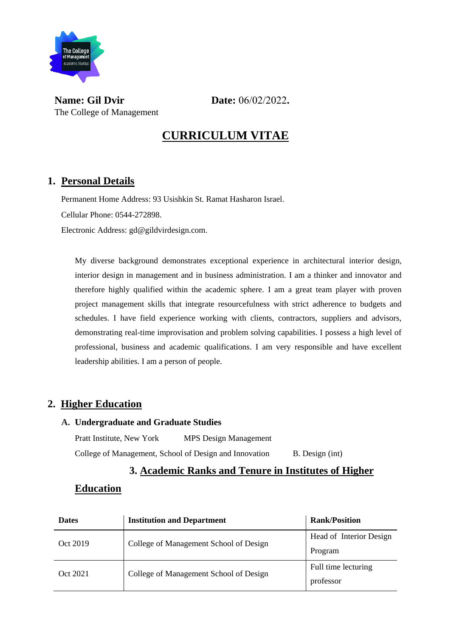

**Name: Gil Dvir Date:** 06/02/2022. The College of Management

## **CURRICULUM VITAE**

## **1. Personal Details**

Permanent Home Address: 93 Usishkin St. Ramat Hasharon Israel.

Cellular Phone: 0544-272898.

Electronic Address: gd@gildvirdesign.com.

My diverse background demonstrates exceptional experience in architectural interior design, interior design in management and in business administration. I am a thinker and innovator and therefore highly qualified within the academic sphere. I am a great team player with proven project management skills that integrate resourcefulness with strict adherence to budgets and schedules. I have field experience working with clients, contractors, suppliers and advisors, demonstrating real-time improvisation and problem solving capabilities. I possess a high level of professional, business and academic qualifications. I am very responsible and have excellent leadership abilities. I am a person of people.

## **2. Higher Education**

#### **A. Undergraduate and Graduate Studies**

Pratt Institute, New York MPS Design Management College of Management, School of Design and Innovation B. Design (int)

## **3. Academic Ranks and Tenure in Institutes of Higher**

### **Education**

| <b>Dates</b> | <b>Institution and Department</b>      | <b>Rank/Position</b>    |  |
|--------------|----------------------------------------|-------------------------|--|
| Oct 2019     | College of Management School of Design | Head of Interior Design |  |
|              |                                        | Program                 |  |
| Oct 2021     | College of Management School of Design | Full time lecturing     |  |
|              |                                        | professor               |  |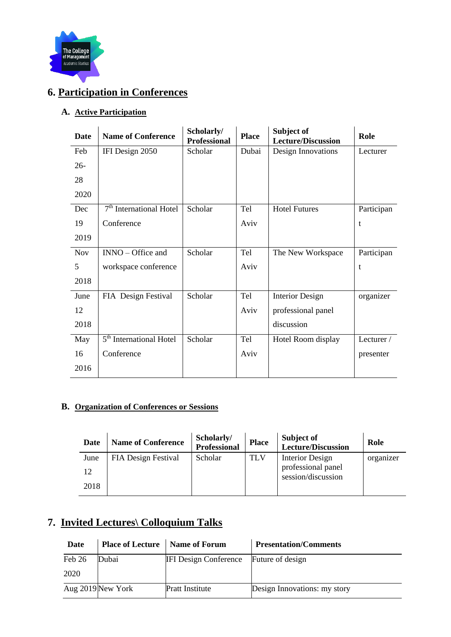

## **6. Participation in Conferences**

### **A. Active Participation**

| <b>Date</b> | <b>Name of Conference</b>           | Scholarly/<br><b>Professional</b> | <b>Place</b> | Subject of<br><b>Lecture/Discussion</b> | Role       |
|-------------|-------------------------------------|-----------------------------------|--------------|-----------------------------------------|------------|
| Feb         | IFI Design 2050                     | Scholar                           | Dubai        | Design Innovations                      | Lecturer   |
| $26 -$      |                                     |                                   |              |                                         |            |
| 28          |                                     |                                   |              |                                         |            |
| 2020        |                                     |                                   |              |                                         |            |
| Dec         | 7 <sup>th</sup> International Hotel | Scholar                           | Tel          | <b>Hotel Futures</b>                    | Participan |
| 19          | Conference                          |                                   | Aviv         |                                         | t          |
| 2019        |                                     |                                   |              |                                         |            |
| <b>Nov</b>  | $INNO - Office$ and                 | Scholar                           | Tel          | The New Workspace                       | Participan |
| 5           | workspace conference                |                                   | Aviv         |                                         | t          |
| 2018        |                                     |                                   |              |                                         |            |
| June        | FIA Design Festival                 | Scholar                           | Tel          | <b>Interior Design</b>                  | organizer  |
| 12          |                                     |                                   | Aviv         | professional panel                      |            |
| 2018        |                                     |                                   |              | discussion                              |            |
| May         | 5 <sup>th</sup> International Hotel | Scholar                           | Tel          | Hotel Room display                      | Lecturer/  |
| 16          | Conference                          |                                   | Aviv         |                                         | presenter  |
| 2016        |                                     |                                   |              |                                         |            |
|             |                                     |                                   |              |                                         |            |

#### **B. Organization of Conferences or Sessions**

| Date | <b>Name of Conference</b> | Scholarly/<br><b>Professional</b> | <b>Place</b> | Subject of<br><b>Lecture/Discussion</b>  | Role      |
|------|---------------------------|-----------------------------------|--------------|------------------------------------------|-----------|
| June | FIA Design Festival       | Scholar                           | <b>TLV</b>   | Interior Design                          | organizer |
| 12   |                           |                                   |              | professional panel<br>session/discussion |           |
| 2018 |                           |                                   |              |                                          |           |

## **7. Invited Lectures\ Colloquium Talks**

| Date   | <b>Place of Lecture</b>   Name of Forum |                              | <b>Presentation/Comments</b> |
|--------|-----------------------------------------|------------------------------|------------------------------|
| Feb 26 | Dubai                                   | <b>IFI Design Conference</b> | Future of design             |
| 2020   |                                         |                              |                              |
|        | Aug 2019 New York                       | <b>Pratt Institute</b>       | Design Innovations: my story |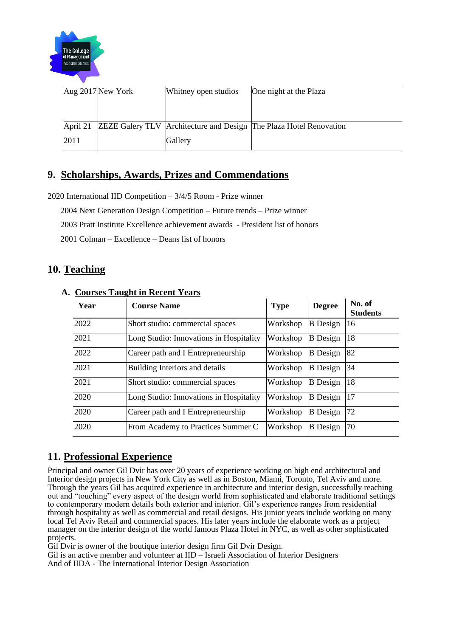

|          | Aug 2017 New York | Whitney open studios | One night at the Plaza                                                    |
|----------|-------------------|----------------------|---------------------------------------------------------------------------|
|          |                   |                      |                                                                           |
|          |                   |                      |                                                                           |
| April 21 |                   |                      | <b>ZEZE Galery TLV</b> Architecture and Design The Plaza Hotel Renovation |
| 2011     |                   | Gallery              |                                                                           |

## **9. Scholarships, Awards, Prizes and Commendations**

2020 International IID Competition – 3/4/5 Room - Prize winner

2004 Next Generation Design Competition – Future trends – Prize winner

2003 Pratt Institute Excellence achievement awards - President list of honors

2001 Colman – Excellence – Deans list of honors

### **10. Teaching**

| Year | <b>Course Name</b>                      | <b>Type</b> | <b>Degree</b>   | No. of<br><b>Students</b> |
|------|-----------------------------------------|-------------|-----------------|---------------------------|
| 2022 | Short studio: commercial spaces         | Workshop    | <b>B</b> Design | 16                        |
| 2021 | Long Studio: Innovations in Hospitality | Workshop    | <b>B</b> Design | 18                        |
| 2022 | Career path and I Entrepreneurship      | Workshop    | <b>B</b> Design | 82                        |
| 2021 | Building Interiors and details          | Workshop    | <b>B</b> Design | 34                        |
| 2021 | Short studio: commercial spaces         | Workshop    | <b>B</b> Design | 18                        |
| 2020 | Long Studio: Innovations in Hospitality | Workshop    | <b>B</b> Design | 17                        |
| 2020 | Career path and I Entrepreneurship      | Workshop    | <b>B</b> Design | 72                        |
| 2020 | From Academy to Practices Summer C      | Workshop    | <b>B</b> Design | 70                        |

#### **A. Courses Taught in Recent Years**

## **11. Professional Experience**

Principal and owner Gil Dvir has over 20 years of experience working on high end architectural and Interior design projects in New York City as well as in Boston, Miami, Toronto, Tel Aviv and more. Through the years Gil has acquired experience in architecture and interior design, successfully reaching out and "touching" every aspect of the design world from sophisticated and elaborate traditional settings to contemporary modern details both exterior and interior. Gil's experience ranges from residential through hospitality as well as commercial and retail designs. His junior years include working on many local Tel Aviv Retail and commercial spaces. His later years include the elaborate work as a project manager on the interior design of the world famous Plaza Hotel in NYC, as well as other sophisticated projects.

Gil Dvir is owner of the boutique interior design firm Gil Dvir Design.

Gil is an active member and volunteer at IID – Israeli Association of Interior Designers And of IIDA - The International Interior Design Association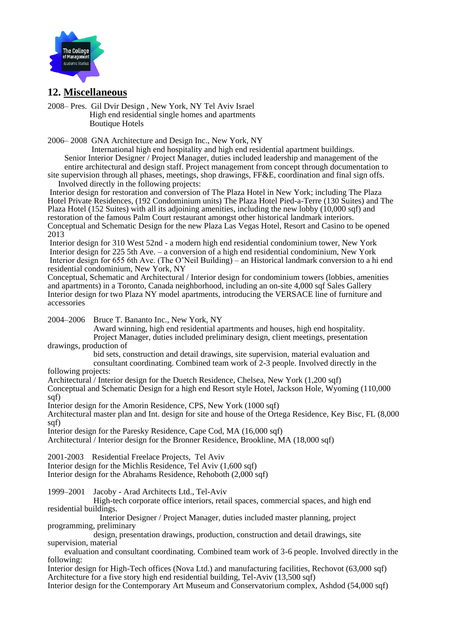

### **12. Miscellaneous**

2008– Pres. Gil Dvir Design , New York, NY Tel Aviv Israel High end residential single homes and apartments Boutique Hotels

2006– 2008 GNA Architecture and Design Inc., New York, NY

 International high end hospitality and high end residential apartment buildings. Senior Interior Designer / Project Manager, duties included leadership and management of the entire architectural and design staff. Project management from concept through documentation to

site supervision through all phases, meetings, shop drawings, FF&E, coordination and final sign offs. Involved directly in the following projects:

Interior design for restoration and conversion of The Plaza Hotel in New York; including The Plaza Hotel Private Residences, (192 Condominium units) The Plaza Hotel Pied-a-Terre (130 Suites) and The Plaza Hotel (152 Suites) with all its adjoining amenities, including the new lobby (10,000 sqf) and restoration of the famous Palm Court restaurant amongst other historical landmark interiors. Conceptual and Schematic Design for the new Plaza Las Vegas Hotel, Resort and Casino to be opened 2013

Interior design for 310 West 52nd - a modern high end residential condominium tower, New York Interior design for 225 5th Ave. – a conversion of a high end residential condominium, New York Interior design for 655 6th Ave. (The O'Neil Building) – an Historical landmark conversion to a hi end residential condominium, New York, NY

Conceptual, Schematic and Architectural / Interior design for condominium towers (lobbies, amenities and apartments) in a Toronto, Canada neighborhood, including an on-site 4,000 sqf Sales Gallery Interior design for two Plaza NY model apartments, introducing the VERSACE line of furniture and accessories

2004–2006 Bruce T. Bananto Inc., New York, NY

 Award winning, high end residential apartments and houses, high end hospitality. Project Manager, duties included preliminary design, client meetings, presentation

drawings, production of

 bid sets, construction and detail drawings, site supervision, material evaluation and consultant coordinating. Combined team work of 2-3 people. Involved directly in the

following projects:

Architectural / Interior design for the Duetch Residence, Chelsea, New York (1,200 sqf) Conceptual and Schematic Design for a high end Resort style Hotel, Jackson Hole, Wyoming (110,000 sqf)

Interior design for the Amorin Residence, CPS, New York (1000 sqf)

Architectural master plan and Int. design for site and house of the Ortega Residence, Key Bisc, FL (8,000 sqf)

Interior design for the Paresky Residence, Cape Cod, MA (16,000 sqf)

Architectural / Interior design for the Bronner Residence, Brookline, MA (18,000 sqf)

2001-2003 Residential Freelace Projects, Tel Aviv

Interior design for the Michlis Residence, Tel Aviv (1,600 sqf)

Interior design for the Abrahams Residence, Rehoboth (2,000 sqf)

1999–2001 Jacoby - Arad Architects Ltd., Tel-Aviv

 High-tech corporate office interiors, retail spaces, commercial spaces, and high end residential buildings.

 Interior Designer / Project Manager, duties included master planning, project programming, preliminary

 design, presentation drawings, production, construction and detail drawings, site supervision, material

 evaluation and consultant coordinating. Combined team work of 3-6 people. Involved directly in the following:

Interior design for High-Tech offices (Nova Ltd.) and manufacturing facilities, Rechovot (63,000 sqf) Architecture for a five story high end residential building, Tel-Aviv (13,500 sqf)

Interior design for the Contemporary Art Museum and Conservatorium complex, Ashdod (54,000 sqf)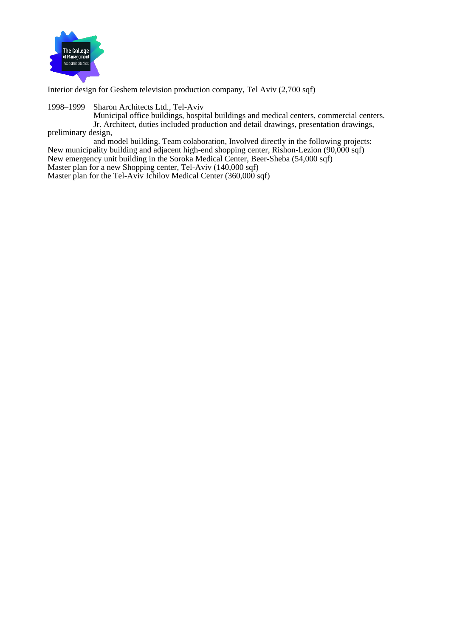

Interior design for Geshem television production company, Tel Aviv (2,700 sqf)

1998–1999 Sharon Architects Ltd., Tel-Aviv

 Municipal office buildings, hospital buildings and medical centers, commercial centers. Jr. Architect, duties included production and detail drawings, presentation drawings, preliminary design,

 and model building. Team colaboration, Involved directly in the following projects: New municipality building and adjacent high-end shopping center, Rishon-Lezion (90,000 sqf) New emergency unit building in the Soroka Medical Center, Beer-Sheba (54,000 sqf) Master plan for a new Shopping center, Tel-Aviv (140,000 sqf)

Master plan for the Tel-Aviv Ichilov Medical Center (360,000 sqf)